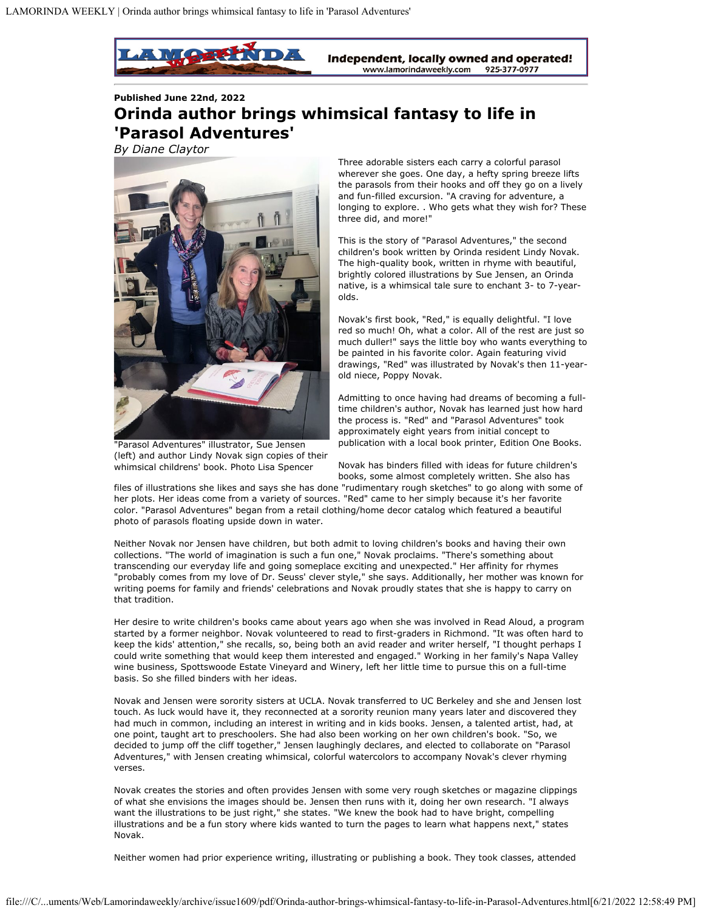

**Published June 22nd, 2022**

## **Orinda author brings whimsical fantasy to life in 'Parasol Adventures'**

*By Diane Claytor*



"Parasol Adventures" illustrator, Sue Jensen (left) and author Lindy Novak sign copies of their whimsical childrens' book. Photo Lisa Spencer

Three adorable sisters each carry a colorful parasol wherever she goes. One day, a hefty spring breeze lifts the parasols from their hooks and off they go on a lively and fun-filled excursion. "A craving for adventure, a longing to explore. . Who gets what they wish for? These three did, and more!"

This is the story of "Parasol Adventures," the second children's book written by Orinda resident Lindy Novak. The high-quality book, written in rhyme with beautiful, brightly colored illustrations by Sue Jensen, an Orinda native, is a whimsical tale sure to enchant 3- to 7-yearolds.

Novak's first book, "Red," is equally delightful. "I love red so much! Oh, what a color. All of the rest are just so much duller!" says the little boy who wants everything to be painted in his favorite color. Again featuring vivid drawings, "Red" was illustrated by Novak's then 11-yearold niece, Poppy Novak.

Admitting to once having had dreams of becoming a fulltime children's author, Novak has learned just how hard the process is. "Red" and "Parasol Adventures" took approximately eight years from initial concept to publication with a local book printer, Edition One Books.

Novak has binders filled with ideas for future children's books, some almost completely written. She also has

files of illustrations she likes and says she has done "rudimentary rough sketches" to go along with some of her plots. Her ideas come from a variety of sources. "Red" came to her simply because it's her favorite color. "Parasol Adventures" began from a retail clothing/home decor catalog which featured a beautiful photo of parasols floating upside down in water.

Neither Novak nor Jensen have children, but both admit to loving children's books and having their own collections. "The world of imagination is such a fun one," Novak proclaims. "There's something about transcending our everyday life and going someplace exciting and unexpected." Her affinity for rhymes "probably comes from my love of Dr. Seuss' clever style," she says. Additionally, her mother was known for writing poems for family and friends' celebrations and Novak proudly states that she is happy to carry on that tradition.

Her desire to write children's books came about years ago when she was involved in Read Aloud, a program started by a former neighbor. Novak volunteered to read to first-graders in Richmond. "It was often hard to keep the kids' attention," she recalls, so, being both an avid reader and writer herself, "I thought perhaps I could write something that would keep them interested and engaged." Working in her family's Napa Valley wine business, Spottswoode Estate Vineyard and Winery, left her little time to pursue this on a full-time basis. So she filled binders with her ideas.

Novak and Jensen were sorority sisters at UCLA. Novak transferred to UC Berkeley and she and Jensen lost touch. As luck would have it, they reconnected at a sorority reunion many years later and discovered they had much in common, including an interest in writing and in kids books. Jensen, a talented artist, had, at one point, taught art to preschoolers. She had also been working on her own children's book. "So, we decided to jump off the cliff together," Jensen laughingly declares, and elected to collaborate on "Parasol Adventures," with Jensen creating whimsical, colorful watercolors to accompany Novak's clever rhyming verses.

Novak creates the stories and often provides Jensen with some very rough sketches or magazine clippings of what she envisions the images should be. Jensen then runs with it, doing her own research. "I always want the illustrations to be just right," she states. "We knew the book had to have bright, compelling illustrations and be a fun story where kids wanted to turn the pages to learn what happens next," states Novak.

Neither women had prior experience writing, illustrating or publishing a book. They took classes, attended